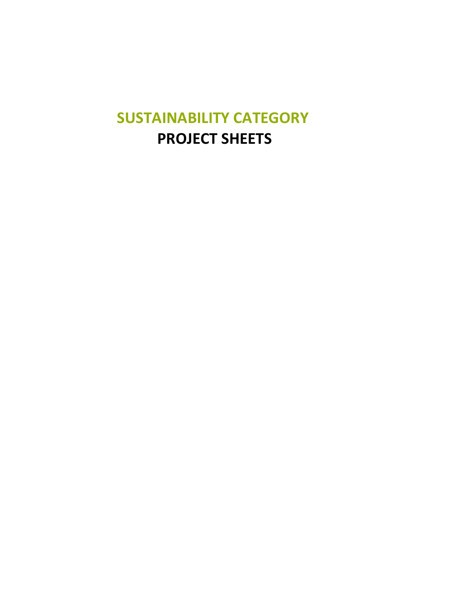## **SUSTAINABILITY CATEGORY PROJECT SHEETS**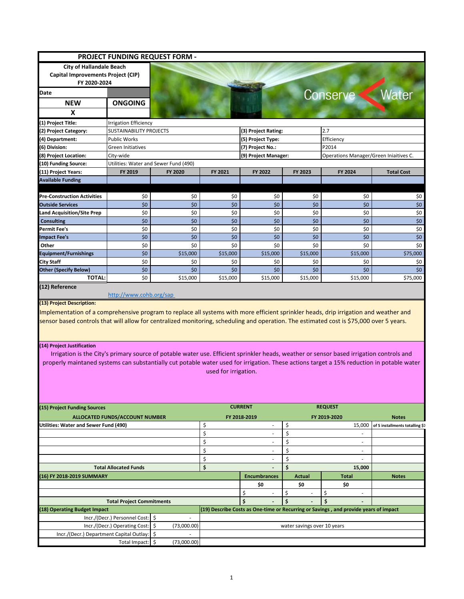|                                                                                                                                                                                                                                                                                                                                  |                                       | PROJECT FUNDING REQUEST FORM -        |                      |                          |                             |                                                                                      |                                 |  |  |
|----------------------------------------------------------------------------------------------------------------------------------------------------------------------------------------------------------------------------------------------------------------------------------------------------------------------------------|---------------------------------------|---------------------------------------|----------------------|--------------------------|-----------------------------|--------------------------------------------------------------------------------------|---------------------------------|--|--|
| <b>City of Hallandale Beach</b>                                                                                                                                                                                                                                                                                                  |                                       |                                       |                      |                          |                             |                                                                                      |                                 |  |  |
| Capital Improvements Project (CIP)                                                                                                                                                                                                                                                                                               |                                       |                                       |                      |                          |                             |                                                                                      |                                 |  |  |
| FY 2020-2024                                                                                                                                                                                                                                                                                                                     |                                       |                                       |                      |                          |                             |                                                                                      |                                 |  |  |
| Date                                                                                                                                                                                                                                                                                                                             |                                       |                                       |                      |                          |                             | Conserve                                                                             | Water                           |  |  |
| <b>NEW</b>                                                                                                                                                                                                                                                                                                                       | <b>ONGOING</b>                        |                                       |                      |                          |                             |                                                                                      |                                 |  |  |
| X                                                                                                                                                                                                                                                                                                                                |                                       |                                       |                      |                          |                             |                                                                                      |                                 |  |  |
|                                                                                                                                                                                                                                                                                                                                  |                                       |                                       |                      |                          |                             |                                                                                      |                                 |  |  |
| (1) Project Title:                                                                                                                                                                                                                                                                                                               | <b>Irrigation Efficiency</b>          |                                       |                      |                          |                             |                                                                                      |                                 |  |  |
| (2) Project Category:                                                                                                                                                                                                                                                                                                            | <b>SUSTAINABILITY PROJECTS</b>        |                                       |                      | (3) Project Rating:      |                             | 2.7                                                                                  |                                 |  |  |
| (4) Department:                                                                                                                                                                                                                                                                                                                  | <b>Public Works</b>                   |                                       | (5) Project Type:    |                          |                             | Efficiency                                                                           |                                 |  |  |
| (6) Division:                                                                                                                                                                                                                                                                                                                    | Green Initiatives                     |                                       | (7) Project No.:     |                          |                             | P2014                                                                                |                                 |  |  |
| (8) Project Location:                                                                                                                                                                                                                                                                                                            | City-wide                             |                                       | (9) Project Manager: |                          |                             | Operations Manager/Green Iniaitives C.                                               |                                 |  |  |
| (10) Funding Source:                                                                                                                                                                                                                                                                                                             |                                       | Utilities: Water and Sewer Fund (490) |                      |                          |                             |                                                                                      |                                 |  |  |
| (11) Project Years:                                                                                                                                                                                                                                                                                                              | FY 2019                               | FY 2020                               | FY 2021              | FY 2022                  | FY 2023                     | FY 2024                                                                              | <b>Total Cost</b>               |  |  |
| <b>Available Funding</b>                                                                                                                                                                                                                                                                                                         |                                       |                                       |                      |                          |                             |                                                                                      |                                 |  |  |
|                                                                                                                                                                                                                                                                                                                                  |                                       |                                       |                      |                          |                             |                                                                                      |                                 |  |  |
| <b>Pre-Construction Activities</b>                                                                                                                                                                                                                                                                                               | \$0                                   | \$0                                   | \$0                  | \$0                      | \$0                         | \$0                                                                                  | \$0                             |  |  |
| <b>Outside Services</b>                                                                                                                                                                                                                                                                                                          | \$0                                   | \$0                                   | \$0                  | \$0                      | \$0                         | \$0                                                                                  | \$0                             |  |  |
| <b>Land Acquisition/Site Prep</b>                                                                                                                                                                                                                                                                                                | \$0                                   | \$0                                   | \$0                  | \$0                      | \$0                         | \$0                                                                                  | \$0                             |  |  |
| <b>Consulting</b>                                                                                                                                                                                                                                                                                                                | \$0                                   | \$0                                   | \$0                  | \$0                      | \$0                         | \$0                                                                                  | \$0\$                           |  |  |
| <b>Permit Fee's</b>                                                                                                                                                                                                                                                                                                              | \$0                                   | \$0                                   | \$0                  | \$0                      | \$0                         | \$0                                                                                  | \$0                             |  |  |
| <b>Impact Fee's</b>                                                                                                                                                                                                                                                                                                              | \$0                                   | \$0                                   | \$0<br>\$0           | \$0                      | \$0                         | \$0                                                                                  | \$0                             |  |  |
| Other                                                                                                                                                                                                                                                                                                                            | \$0                                   | \$0                                   |                      | \$0                      | \$0                         | \$0                                                                                  | \$0                             |  |  |
| <b>Equipment/Furnishings</b>                                                                                                                                                                                                                                                                                                     | \$0                                   | \$15,000                              | \$15,000             | \$15,000                 | \$15,000                    | \$15,000                                                                             | \$75,000                        |  |  |
| <b>City Staff</b>                                                                                                                                                                                                                                                                                                                | \$0                                   | \$0                                   | \$0                  | \$0                      | \$0                         | \$0                                                                                  | \$0                             |  |  |
| <b>Other (Specify Below)</b><br><b>TOTAL:</b>                                                                                                                                                                                                                                                                                    | \$0<br>\$0                            | \$0                                   | \$0                  | \$0                      | \$0                         | \$0                                                                                  | \$0                             |  |  |
|                                                                                                                                                                                                                                                                                                                                  |                                       | \$15,000                              | \$15,000             | \$15,000                 | \$15,000                    | \$15,000                                                                             | \$75,000                        |  |  |
| (12) Reference<br>(13) Project Description:<br>Implementation of a comprehensive program to replace all systems with more efficient sprinkler heads, drip irrigation and weather and<br>sensor based controls that will allow for centralized monitoring, scheduling and operation. The estimated cost is \$75,000 over 5 years. | http://www.cohb.org/sap               |                                       |                      |                          |                             |                                                                                      |                                 |  |  |
| Irrigation is the City's primary source of potable water use. Efficient sprinkler heads, weather or sensor based irrigation controls and<br>properly maintaned systems can substantially cut potable water used for irrigation. These actions target a 15% reduction in potable water                                            |                                       |                                       | used for irrigation. |                          |                             |                                                                                      |                                 |  |  |
|                                                                                                                                                                                                                                                                                                                                  |                                       |                                       |                      | <b>CURRENT</b>           |                             | <b>REQUEST</b>                                                                       |                                 |  |  |
|                                                                                                                                                                                                                                                                                                                                  | <b>ALLOCATED FUNDS/ACCOUNT NUMBER</b> |                                       |                      | FY 2018-2019             |                             | FY 2019-2020                                                                         | <b>Notes</b>                    |  |  |
|                                                                                                                                                                                                                                                                                                                                  |                                       |                                       | \$                   |                          | \$                          | 15,000                                                                               |                                 |  |  |
|                                                                                                                                                                                                                                                                                                                                  |                                       |                                       | \$                   | $\overline{\phantom{a}}$ | \$                          | $\overline{\phantom{a}}$                                                             |                                 |  |  |
|                                                                                                                                                                                                                                                                                                                                  |                                       |                                       |                      | $\sim$                   |                             | $\mathcal{L}_{\mathcal{A}}$                                                          |                                 |  |  |
|                                                                                                                                                                                                                                                                                                                                  |                                       |                                       | \$                   | $\overline{\phantom{a}}$ | \$                          | $\sim$                                                                               |                                 |  |  |
|                                                                                                                                                                                                                                                                                                                                  |                                       |                                       | \$                   |                          | \$                          |                                                                                      |                                 |  |  |
|                                                                                                                                                                                                                                                                                                                                  |                                       |                                       | \$                   |                          | \$                          | ä,                                                                                   |                                 |  |  |
|                                                                                                                                                                                                                                                                                                                                  | <b>Total Allocated Funds</b>          |                                       | \$                   |                          | \$                          | 15,000                                                                               |                                 |  |  |
|                                                                                                                                                                                                                                                                                                                                  |                                       |                                       |                      | <b>Encumbrances</b>      | <b>Actual</b>               | <b>Total</b>                                                                         | <b>Notes</b>                    |  |  |
|                                                                                                                                                                                                                                                                                                                                  |                                       |                                       |                      | \$0                      | \$0                         | \$0                                                                                  |                                 |  |  |
|                                                                                                                                                                                                                                                                                                                                  |                                       |                                       |                      | \$                       | \$                          | \$                                                                                   |                                 |  |  |
| (14) Project Justification<br>(15) Project Funding Sources<br>Utilities: Water and Sewer Fund (490)<br>(16) FY 2018-2019 SUMMARY                                                                                                                                                                                                 | <b>Total Project Commitments</b>      |                                       |                      | \$                       | \$                          | \$                                                                                   |                                 |  |  |
| (18) Operating Budget Impact                                                                                                                                                                                                                                                                                                     |                                       |                                       |                      |                          |                             | (19) Describe Costs as One-time or Recurring or Savings, and provide years of impact |                                 |  |  |
|                                                                                                                                                                                                                                                                                                                                  | Incr./(Decr.) Personnel Cost:   \$    | $\overline{\phantom{a}}$              |                      |                          |                             |                                                                                      |                                 |  |  |
| Incr./(Decr.) Department Capital Outlay:                                                                                                                                                                                                                                                                                         | Incr./(Decr.) Operating Cost:         | \$<br>(73,000.00)<br>\$               |                      |                          | water savings over 10 years |                                                                                      | of 5 installments totalling \$7 |  |  |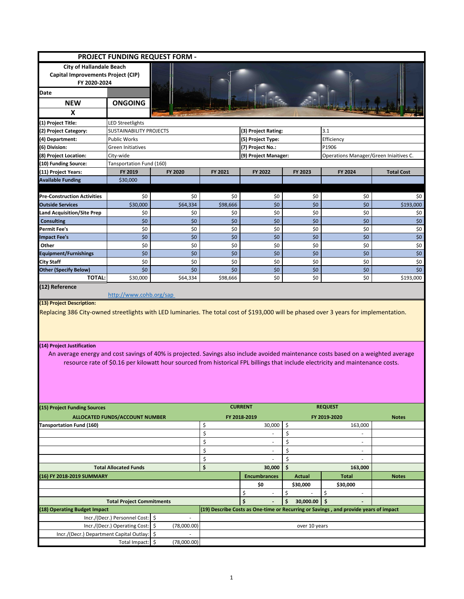|                                                                                        |                                                                                                                                                                                                                                                                                                                                                                                                                                                             | <b>PROJECT FUNDING REQUEST FORM -</b> |            |                                |                 |                                                                                      |                   |  |
|----------------------------------------------------------------------------------------|-------------------------------------------------------------------------------------------------------------------------------------------------------------------------------------------------------------------------------------------------------------------------------------------------------------------------------------------------------------------------------------------------------------------------------------------------------------|---------------------------------------|------------|--------------------------------|-----------------|--------------------------------------------------------------------------------------|-------------------|--|
| <b>City of Hallandale Beach</b><br>Capital Improvements Project (CIP)<br>FY 2020-2024  |                                                                                                                                                                                                                                                                                                                                                                                                                                                             |                                       |            |                                |                 |                                                                                      |                   |  |
| Date                                                                                   |                                                                                                                                                                                                                                                                                                                                                                                                                                                             |                                       |            |                                |                 |                                                                                      |                   |  |
| <b>NEW</b>                                                                             | <b>ONGOING</b>                                                                                                                                                                                                                                                                                                                                                                                                                                              |                                       |            |                                |                 |                                                                                      |                   |  |
| X                                                                                      |                                                                                                                                                                                                                                                                                                                                                                                                                                                             |                                       |            |                                |                 |                                                                                      |                   |  |
| (1) Project Title:                                                                     | LED Streetlights                                                                                                                                                                                                                                                                                                                                                                                                                                            |                                       |            |                                |                 |                                                                                      |                   |  |
| (2) Project Category:                                                                  | <b>SUSTAINABILITY PROJECTS</b>                                                                                                                                                                                                                                                                                                                                                                                                                              |                                       |            | (3) Project Rating:            |                 | 3.1                                                                                  |                   |  |
| (4) Department:                                                                        | <b>Public Works</b>                                                                                                                                                                                                                                                                                                                                                                                                                                         |                                       |            | (5) Project Type:              |                 | Efficiency                                                                           |                   |  |
| (6) Division:                                                                          | Green Initiatives                                                                                                                                                                                                                                                                                                                                                                                                                                           |                                       |            | (7) Project No.:               |                 | P1906                                                                                |                   |  |
| (8) Project Location:                                                                  | City-wide                                                                                                                                                                                                                                                                                                                                                                                                                                                   |                                       |            | (9) Project Manager:           |                 | Operations Manager/Green Iniaitives C.                                               |                   |  |
| (10) Funding Source:                                                                   | Tansportation Fund (160)                                                                                                                                                                                                                                                                                                                                                                                                                                    |                                       |            |                                |                 |                                                                                      |                   |  |
| (11) Project Years:                                                                    | FY 2019                                                                                                                                                                                                                                                                                                                                                                                                                                                     | FY 2020                               | FY 2021    | FY 2022<br>FY 2023             |                 | FY 2024                                                                              | <b>Total Cost</b> |  |
| <b>Available Funding</b>                                                               | \$30,000                                                                                                                                                                                                                                                                                                                                                                                                                                                    |                                       |            |                                |                 |                                                                                      |                   |  |
|                                                                                        |                                                                                                                                                                                                                                                                                                                                                                                                                                                             |                                       |            |                                |                 |                                                                                      |                   |  |
| <b>Pre-Construction Activities</b>                                                     | \$0                                                                                                                                                                                                                                                                                                                                                                                                                                                         | \$0                                   | \$0        | \$0                            | \$0             | \$0                                                                                  | \$0               |  |
| <b>Outside Services</b>                                                                | \$30,000                                                                                                                                                                                                                                                                                                                                                                                                                                                    | \$64,334                              | \$98,666   | \$0                            | \$0             | \$0                                                                                  | \$193,000         |  |
| Land Acquisition/Site Prep                                                             | \$0                                                                                                                                                                                                                                                                                                                                                                                                                                                         | \$0                                   | \$0        | \$0                            | \$0             | \$0                                                                                  | \$0               |  |
| <b>Consulting</b>                                                                      | \$0                                                                                                                                                                                                                                                                                                                                                                                                                                                         | \$0                                   | \$0        | \$0                            | \$0             | \$0                                                                                  | \$0               |  |
| Permit Fee's                                                                           | \$0                                                                                                                                                                                                                                                                                                                                                                                                                                                         | \$0<br>\$0                            | \$0<br>\$0 | \$0                            | \$0             | \$0<br>\$0                                                                           | \$0<br>\$0\$      |  |
| <b>Impact Fee's</b><br>Other                                                           | \$0<br>\$0                                                                                                                                                                                                                                                                                                                                                                                                                                                  | \$0                                   | \$0        | \$0<br>\$0                     | \$0<br>\$0      | \$0                                                                                  | \$0               |  |
| Equipment/Furnishings                                                                  | \$0                                                                                                                                                                                                                                                                                                                                                                                                                                                         | \$0                                   | \$0        | \$0                            | \$0             | \$0                                                                                  | $$0$$             |  |
| City Staff                                                                             | \$0                                                                                                                                                                                                                                                                                                                                                                                                                                                         | \$0                                   | \$0        | \$0                            | \$0             | \$0                                                                                  | \$0               |  |
| <b>Other (Specify Below)</b>                                                           | \$0                                                                                                                                                                                                                                                                                                                                                                                                                                                         | \$0                                   | \$0        | \$0                            | \$0             | \$0                                                                                  | \$0\$             |  |
| <b>TOTAL:</b>                                                                          | \$30,000                                                                                                                                                                                                                                                                                                                                                                                                                                                    | \$64,334                              | \$98,666   | \$0                            | \$0             | \$0                                                                                  | \$193,000         |  |
| (13) Project Description:<br>(14) Project Justification                                | (12) Reference<br>http://www.cohb.org/sap<br>Replacing 386 City-owned streetlights with LED luminaries. The total cost of \$193,000 will be phased over 3 years for implementation.<br>An average energy and cost savings of 40% is projected. Savings also include avoided maintenance costs based on a weighted average<br>resource rate of \$0.16 per kilowatt hour sourced from historical FPL billings that include electricity and maintenance costs. |                                       |            |                                |                 |                                                                                      |                   |  |
| (15) Project Funding Sources                                                           | <b>ALLOCATED FUNDS/ACCOUNT NUMBER</b>                                                                                                                                                                                                                                                                                                                                                                                                                       |                                       |            | <b>CURRENT</b><br>FY 2018-2019 |                 | <b>REQUEST</b><br>FY 2019-2020                                                       | <b>Notes</b>      |  |
| Tansportation Fund (160)                                                               |                                                                                                                                                                                                                                                                                                                                                                                                                                                             |                                       | \$         | 30,000                         | \$              | 163,000                                                                              |                   |  |
|                                                                                        |                                                                                                                                                                                                                                                                                                                                                                                                                                                             |                                       | \$         | $\overline{\phantom{a}}$       | \$              | $\overline{\phantom{a}}$                                                             |                   |  |
|                                                                                        |                                                                                                                                                                                                                                                                                                                                                                                                                                                             |                                       | \$         | ÷,                             | \$              | $\overline{\phantom{a}}$                                                             |                   |  |
|                                                                                        |                                                                                                                                                                                                                                                                                                                                                                                                                                                             |                                       | \$<br>\$   |                                | \$              | $\sim$                                                                               |                   |  |
|                                                                                        | <b>Total Allocated Funds</b>                                                                                                                                                                                                                                                                                                                                                                                                                                |                                       | \$         | 30,000                         | \$<br>\$        | 163.000                                                                              |                   |  |
| (16) FY 2018-2019 SUMMARY                                                              |                                                                                                                                                                                                                                                                                                                                                                                                                                                             |                                       |            | <b>Encumbrances</b>            | <b>Actual</b>   | <b>Total</b>                                                                         | <b>Notes</b>      |  |
|                                                                                        |                                                                                                                                                                                                                                                                                                                                                                                                                                                             |                                       |            | \$0                            | \$30,000        | \$30,000                                                                             |                   |  |
|                                                                                        |                                                                                                                                                                                                                                                                                                                                                                                                                                                             |                                       |            | \$<br>$\overline{\phantom{a}}$ | \$<br>÷.        | \$<br>$\overline{\phantom{a}}$                                                       |                   |  |
|                                                                                        | <b>Total Project Commitments</b>                                                                                                                                                                                                                                                                                                                                                                                                                            |                                       |            | \$<br>$\blacksquare$           | \$<br>30,000.00 | \$                                                                                   |                   |  |
| (18) Operating Budget Impact                                                           |                                                                                                                                                                                                                                                                                                                                                                                                                                                             |                                       |            |                                |                 | (19) Describe Costs as One-time or Recurring or Savings, and provide years of impact |                   |  |
|                                                                                        | Incr./(Decr.) Personnel Cost: \$                                                                                                                                                                                                                                                                                                                                                                                                                            |                                       |            |                                |                 |                                                                                      |                   |  |
|                                                                                        | Incr./(Decr.) Operating Cost: \$                                                                                                                                                                                                                                                                                                                                                                                                                            | (78,000.00)                           |            |                                | over 10 years   |                                                                                      |                   |  |
| Incr./(Decr.) Department Capital Outlay:   \$<br>÷.<br>Total Impact: \$<br>(78,000.00) |                                                                                                                                                                                                                                                                                                                                                                                                                                                             |                                       |            |                                |                 |                                                                                      |                   |  |
|                                                                                        |                                                                                                                                                                                                                                                                                                                                                                                                                                                             |                                       |            |                                |                 |                                                                                      |                   |  |